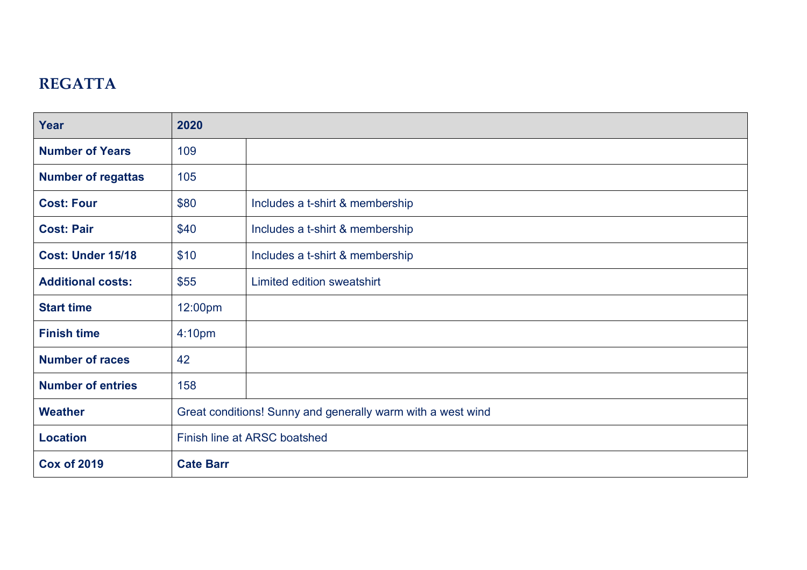## **REGATTA**

| <b>Year</b>               | 2020                                                        |                                 |  |  |  |  |  |
|---------------------------|-------------------------------------------------------------|---------------------------------|--|--|--|--|--|
| <b>Number of Years</b>    | 109                                                         |                                 |  |  |  |  |  |
| <b>Number of regattas</b> | 105                                                         |                                 |  |  |  |  |  |
| <b>Cost: Four</b>         | \$80                                                        | Includes a t-shirt & membership |  |  |  |  |  |
| <b>Cost: Pair</b>         | \$40                                                        | Includes a t-shirt & membership |  |  |  |  |  |
| <b>Cost: Under 15/18</b>  | \$10                                                        | Includes a t-shirt & membership |  |  |  |  |  |
| <b>Additional costs:</b>  | \$55                                                        | Limited edition sweatshirt      |  |  |  |  |  |
| <b>Start time</b>         | 12:00pm                                                     |                                 |  |  |  |  |  |
| <b>Finish time</b>        | 4:10 <sub>pm</sub>                                          |                                 |  |  |  |  |  |
| <b>Number of races</b>    | 42                                                          |                                 |  |  |  |  |  |
| <b>Number of entries</b>  | 158                                                         |                                 |  |  |  |  |  |
| <b>Weather</b>            | Great conditions! Sunny and generally warm with a west wind |                                 |  |  |  |  |  |
| <b>Location</b>           | Finish line at ARSC boatshed                                |                                 |  |  |  |  |  |
| <b>Cox of 2019</b>        | <b>Cate Barr</b>                                            |                                 |  |  |  |  |  |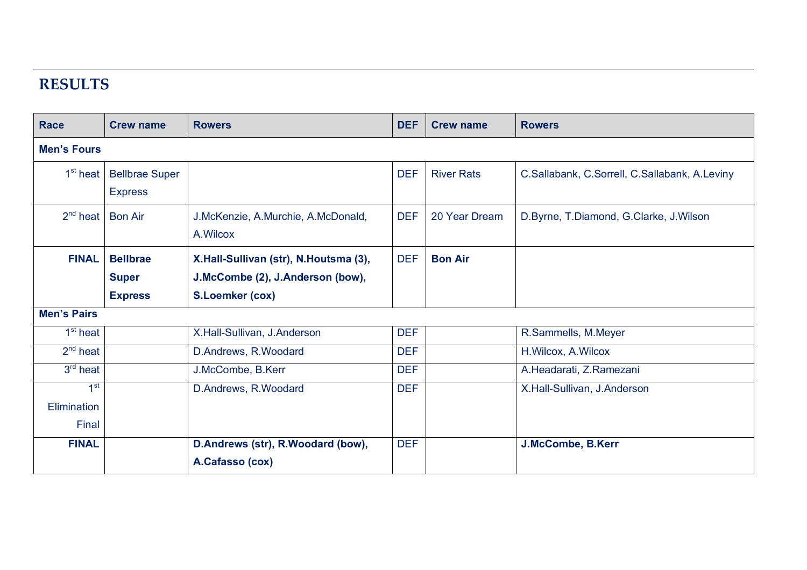## **RESULTS**

| <b>Race</b>          | <b>Crew name</b>      | <b>Rowers</b>                         | <b>DEF</b> | <b>Crew name</b>  | <b>Rowers</b>                                 |
|----------------------|-----------------------|---------------------------------------|------------|-------------------|-----------------------------------------------|
| <b>Men's Fours</b>   |                       |                                       |            |                   |                                               |
| 1 <sup>st</sup> heat | <b>Bellbrae Super</b> |                                       | <b>DEF</b> | <b>River Rats</b> | C.Sallabank, C.Sorrell, C.Sallabank, A.Leviny |
|                      | <b>Express</b>        |                                       |            |                   |                                               |
| $2^{nd}$ heat        | <b>Bon Air</b>        | J.McKenzie, A.Murchie, A.McDonald,    | <b>DEF</b> | 20 Year Dream     | D.Byrne, T.Diamond, G.Clarke, J.Wilson        |
|                      |                       | A. Wilcox                             |            |                   |                                               |
| <b>FINAL</b>         | <b>Bellbrae</b>       | X.Hall-Sullivan (str), N.Houtsma (3), | <b>DEF</b> | <b>Bon Air</b>    |                                               |
|                      | <b>Super</b>          | J.McCombe (2), J.Anderson (bow),      |            |                   |                                               |
|                      | <b>Express</b>        | <b>S.Loemker (cox)</b>                |            |                   |                                               |
| <b>Men's Pairs</b>   |                       |                                       |            |                   |                                               |
| 1 <sup>st</sup> heat |                       | X.Hall-Sullivan, J.Anderson           | <b>DEF</b> |                   | R.Sammells, M.Meyer                           |
| $2nd$ heat           |                       | D.Andrews, R.Woodard                  | <b>DEF</b> |                   | H.Wilcox, A.Wilcox                            |
| $3rd$ heat           |                       | J.McCombe, B.Kerr                     | <b>DEF</b> |                   | A.Headarati, Z.Ramezani                       |
| 1 <sup>st</sup>      |                       | D.Andrews, R.Woodard                  | <b>DEF</b> |                   | X.Hall-Sullivan, J.Anderson                   |
| Elimination          |                       |                                       |            |                   |                                               |
| Final                |                       |                                       |            |                   |                                               |
| <b>FINAL</b>         |                       | D.Andrews (str), R.Woodard (bow),     | <b>DEF</b> |                   | J.McCombe, B.Kerr                             |
|                      |                       | A.Cafasso (cox)                       |            |                   |                                               |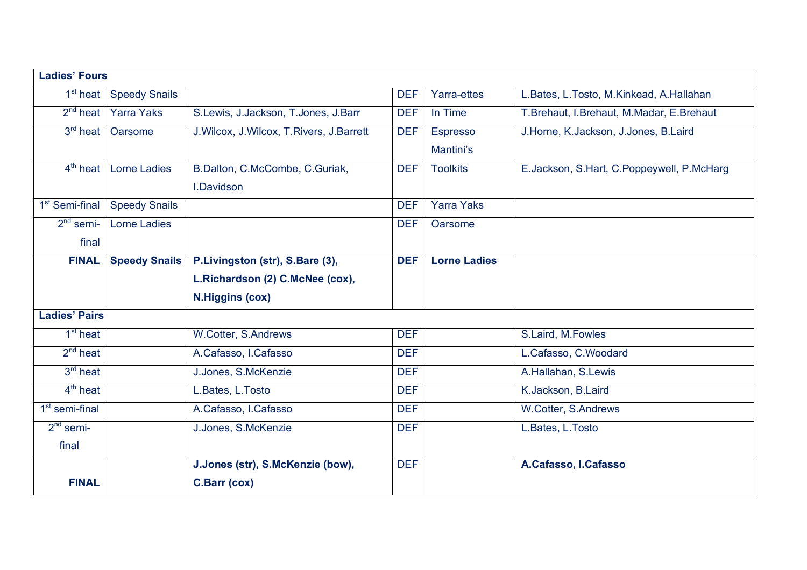| <b>Ladies' Fours</b>         |                      |                                             |            |                     |                                           |
|------------------------------|----------------------|---------------------------------------------|------------|---------------------|-------------------------------------------|
| $\overline{1}^{\rm st}$ heat | <b>Speedy Snails</b> |                                             | <b>DEF</b> | Yarra-ettes         | L.Bates, L.Tosto, M.Kinkead, A.Hallahan   |
| $2nd$ heat                   | <b>Yarra Yaks</b>    | S.Lewis, J.Jackson, T.Jones, J.Barr         | <b>DEF</b> | In Time             | T.Brehaut, I.Brehaut, M.Madar, E.Brehaut  |
| $3rd$ heat                   | Oarsome              | J. Wilcox, J. Wilcox, T. Rivers, J. Barrett | <b>DEF</b> | <b>Espresso</b>     | J.Horne, K.Jackson, J.Jones, B.Laird      |
|                              |                      |                                             |            | Mantini's           |                                           |
| $4th$ heat                   | <b>Lorne Ladies</b>  | B.Dalton, C.McCombe, C.Guriak,              | <b>DEF</b> | <b>Toolkits</b>     | E.Jackson, S.Hart, C.Poppeywell, P.McHarg |
|                              |                      | I.Davidson                                  |            |                     |                                           |
| 1 <sup>st</sup> Semi-final   | <b>Speedy Snails</b> |                                             | <b>DEF</b> | <b>Yarra Yaks</b>   |                                           |
| $2nd$ semi-                  | <b>Lorne Ladies</b>  |                                             | <b>DEF</b> | Oarsome             |                                           |
| final                        |                      |                                             |            |                     |                                           |
| <b>FINAL</b>                 | <b>Speedy Snails</b> | P.Livingston (str), S.Bare (3),             | <b>DEF</b> | <b>Lorne Ladies</b> |                                           |
|                              |                      | L.Richardson (2) C.McNee (cox),             |            |                     |                                           |
|                              |                      | <b>N.Higgins (cox)</b>                      |            |                     |                                           |
| <b>Ladies' Pairs</b>         |                      |                                             |            |                     |                                           |
| $1st$ heat                   |                      | W.Cotter, S.Andrews                         | <b>DEF</b> |                     | S.Laird, M.Fowles                         |
| $2nd$ heat                   |                      | A.Cafasso, I.Cafasso                        | <b>DEF</b> |                     | L.Cafasso, C.Woodard                      |
| $3rd$ heat                   |                      | J.Jones, S.McKenzie                         | <b>DEF</b> |                     | A.Hallahan, S.Lewis                       |
| $4th$ heat                   |                      | L.Bates, L.Tosto                            | <b>DEF</b> |                     | K.Jackson, B.Laird                        |
| $1st$ semi-final             |                      | A.Cafasso, I.Cafasso                        | <b>DEF</b> |                     | W.Cotter, S.Andrews                       |
| $2nd$ semi-                  |                      | J.Jones, S.McKenzie                         | <b>DEF</b> |                     | L.Bates, L.Tosto                          |
| final                        |                      |                                             |            |                     |                                           |
|                              |                      | J.Jones (str), S.McKenzie (bow),            | <b>DEF</b> |                     | A.Cafasso, I.Cafasso                      |
| <b>FINAL</b>                 |                      | <b>C.Barr (cox)</b>                         |            |                     |                                           |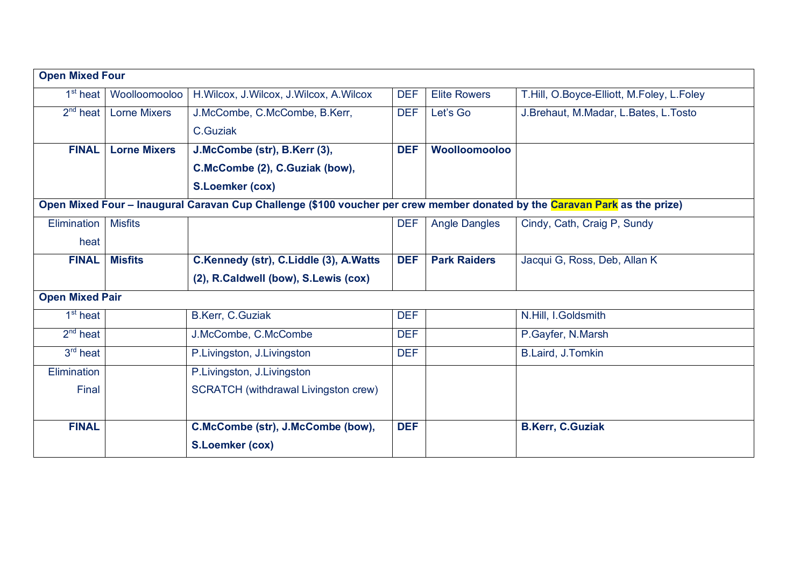| <b>Open Mixed Four</b> |                     |                                                                                                                            |            |                      |                                           |  |
|------------------------|---------------------|----------------------------------------------------------------------------------------------------------------------------|------------|----------------------|-------------------------------------------|--|
| $1st$ heat             | Woolloomooloo       | H. Wilcox, J. Wilcox, J. Wilcox, A. Wilcox                                                                                 | <b>DEF</b> | <b>Elite Rowers</b>  | T.Hill, O.Boyce-Elliott, M.Foley, L.Foley |  |
| $2^{nd}$ heat          | <b>Lorne Mixers</b> | J.McCombe, C.McCombe, B.Kerr,                                                                                              | <b>DEF</b> | Let's Go             | J.Brehaut, M.Madar, L.Bates, L.Tosto      |  |
|                        |                     | C.Guziak                                                                                                                   |            |                      |                                           |  |
| <b>FINAL</b>           | <b>Lorne Mixers</b> | J.McCombe (str), B.Kerr (3),                                                                                               | <b>DEF</b> | Woolloomooloo        |                                           |  |
|                        |                     | C.McCombe (2), C.Guziak (bow),                                                                                             |            |                      |                                           |  |
|                        |                     | <b>S.Loemker (cox)</b>                                                                                                     |            |                      |                                           |  |
|                        |                     | Open Mixed Four – Inaugural Caravan Cup Challenge (\$100 voucher per crew member donated by the Caravan Park as the prize) |            |                      |                                           |  |
| Elimination            | <b>Misfits</b>      |                                                                                                                            | <b>DEF</b> | <b>Angle Dangles</b> | Cindy, Cath, Craig P, Sundy               |  |
| heat                   |                     |                                                                                                                            |            |                      |                                           |  |
| <b>FINAL</b>           | <b>Misfits</b>      | C.Kennedy (str), C.Liddle (3), A.Watts                                                                                     | <b>DEF</b> | <b>Park Raiders</b>  | Jacqui G, Ross, Deb, Allan K              |  |
|                        |                     | (2), R.Caldwell (bow), S.Lewis (cox)                                                                                       |            |                      |                                           |  |
| <b>Open Mixed Pair</b> |                     |                                                                                                                            |            |                      |                                           |  |
| $1st$ heat             |                     | B.Kerr, C.Guziak                                                                                                           | <b>DEF</b> |                      | N.Hill, I.Goldsmith                       |  |
| $2nd$ heat             |                     | J.McCombe, C.McCombe                                                                                                       | <b>DEF</b> |                      | P.Gayfer, N.Marsh                         |  |
| $3rd$ heat             |                     | P.Livingston, J.Livingston                                                                                                 | <b>DEF</b> |                      | B.Laird, J.Tomkin                         |  |
| Elimination            |                     | P.Livingston, J.Livingston                                                                                                 |            |                      |                                           |  |
| Final                  |                     | <b>SCRATCH</b> (withdrawal Livingston crew)                                                                                |            |                      |                                           |  |
|                        |                     |                                                                                                                            |            |                      |                                           |  |
| <b>FINAL</b>           |                     | C.McCombe (str), J.McCombe (bow),                                                                                          | <b>DEF</b> |                      | <b>B.Kerr, C.Guziak</b>                   |  |
|                        |                     | <b>S.Loemker (cox)</b>                                                                                                     |            |                      |                                           |  |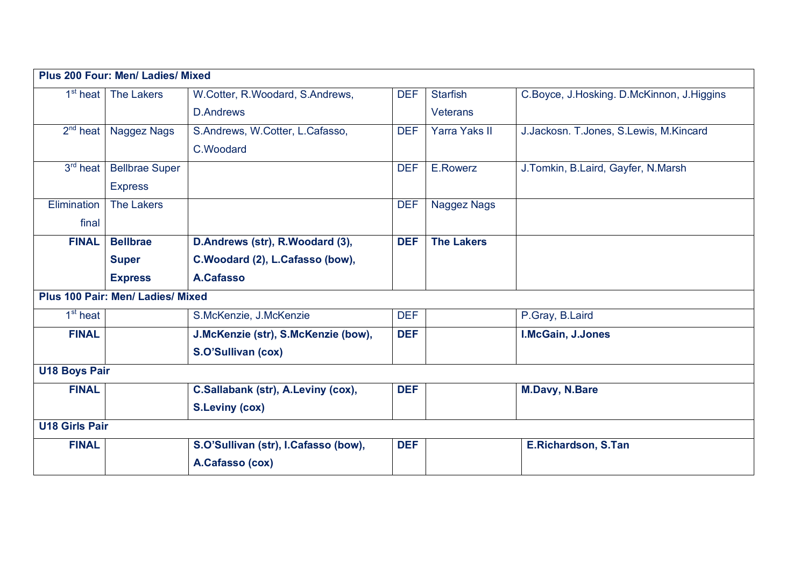| Plus 200 Four: Men/ Ladies/ Mixed |                       |                                      |            |                      |                                           |  |
|-----------------------------------|-----------------------|--------------------------------------|------------|----------------------|-------------------------------------------|--|
| 1 <sup>st</sup> heat              | <b>The Lakers</b>     | W.Cotter, R.Woodard, S.Andrews,      | <b>DEF</b> | <b>Starfish</b>      | C.Boyce, J.Hosking. D.McKinnon, J.Higgins |  |
|                                   |                       | <b>D.Andrews</b>                     |            | <b>Veterans</b>      |                                           |  |
| $2nd$ heat                        | <b>Naggez Nags</b>    | S.Andrews, W.Cotter, L.Cafasso,      | <b>DEF</b> | <b>Yarra Yaks II</b> | J.Jackosn. T.Jones, S.Lewis, M.Kincard    |  |
|                                   |                       | C.Woodard                            |            |                      |                                           |  |
| $3rd$ heat                        | <b>Bellbrae Super</b> |                                      | <b>DEF</b> | E.Rowerz             | J. Tomkin, B. Laird, Gayfer, N. Marsh     |  |
|                                   | <b>Express</b>        |                                      |            |                      |                                           |  |
| Elimination                       | <b>The Lakers</b>     |                                      | <b>DEF</b> | Naggez Nags          |                                           |  |
| final                             |                       |                                      |            |                      |                                           |  |
| <b>FINAL</b>                      | <b>Bellbrae</b>       | D.Andrews (str), R.Woodard (3),      | <b>DEF</b> | <b>The Lakers</b>    |                                           |  |
|                                   | <b>Super</b>          | C.Woodard (2), L.Cafasso (bow),      |            |                      |                                           |  |
|                                   | <b>Express</b>        | A.Cafasso                            |            |                      |                                           |  |
| Plus 100 Pair: Men/ Ladies/ Mixed |                       |                                      |            |                      |                                           |  |
| $1st$ heat                        |                       | S.McKenzie, J.McKenzie               | <b>DEF</b> |                      | P.Gray, B.Laird                           |  |
| <b>FINAL</b>                      |                       | J.McKenzie (str), S.McKenzie (bow),  | <b>DEF</b> |                      | I.McGain, J.Jones                         |  |
|                                   |                       | S.O'Sullivan (cox)                   |            |                      |                                           |  |
| <b>U18 Boys Pair</b>              |                       |                                      |            |                      |                                           |  |
| <b>FINAL</b>                      |                       | C.Sallabank (str), A.Leviny (cox),   | <b>DEF</b> |                      | <b>M.Davy, N.Bare</b>                     |  |
|                                   |                       | <b>S.Leviny (cox)</b>                |            |                      |                                           |  |
| <b>U18 Girls Pair</b>             |                       |                                      |            |                      |                                           |  |
| <b>FINAL</b>                      |                       | S.O'Sullivan (str), I.Cafasso (bow), | <b>DEF</b> |                      | <b>E.Richardson, S.Tan</b>                |  |
|                                   |                       | A.Cafasso (cox)                      |            |                      |                                           |  |